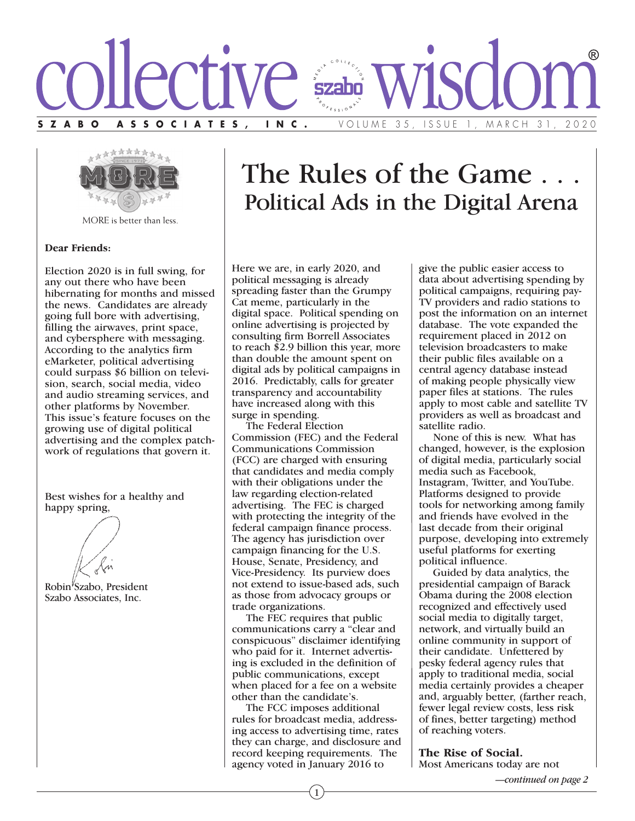



MORE is better than less.

#### **Dear Friends:**

Election 2020 is in full swing, for any out there who have been hibernating for months and missed the news. Candidates are already going full bore with advertising, filling the airwaves, print space, and cybersphere with messaging. According to the analytics firm eMarketer, political advertising could surpass \$6 billion on television, search, social media, video and audio streaming services, and other platforms by November. This issue's feature focuses on the growing use of digital political advertising and the complex patchwork of regulations that govern it.

Best wishes for a healthy and happy spring,

Robin<sup>*Szabo*, President</sup> Szabo Associates, Inc.

# The Rules of the Game . . . Political Ads in the Digital Arena

Here we are, in early 2020, and political messaging is already spreading faster than the Grumpy Cat meme, particularly in the digital space. Political spending on online advertising is projected by consulting firm Borrell Associates to reach \$2.9 billion this year, more than double the amount spent on digital ads by political campaigns in 2016. Predictably, calls for greater transparency and accountability have increased along with this surge in spending.

 The Federal Election Commission (FEC) and the Federal Communications Commission (FCC) are charged with ensuring that candidates and media comply with their obligations under the law regarding election-related advertising. The FEC is charged with protecting the integrity of the federal campaign finance process. The agency has jurisdiction over campaign financing for the U.S. House, Senate, Presidency, and Vice-Presidency. Its purview does not extend to issue-based ads, such as those from advocacy groups or trade organizations.

 The FEC requires that public communications carry a "clear and conspicuous" disclaimer identifying who paid for it. Internet advertising is excluded in the definition of public communications, except when placed for a fee on a website other than the candidate's.

 The FCC imposes additional rules for broadcast media, addressing access to advertising time, rates they can charge, and disclosure and record keeping requirements. The agency voted in January 2016 to

give the public easier access to data about advertising spending by political campaigns, requiring pay-TV providers and radio stations to post the information on an internet database. The vote expanded the requirement placed in 2012 on television broadcasters to make their public files available on <sup>a</sup> central agency database instead of making people physically view paper files at stations. The rules apply to most cable and satellite TV providers as well as broadcast and satellite radio.

None of this is new. What has changed, however, is the explosion of digital media, particularly social media such as Facebook, Instagram, Twitter, and YouTube. Platforms designed to provide tools for networking among family and friends have evolved in the last decade from their original purpose, developing into extremely useful platforms for exerting political influence.

Guided by data analytics, the presidential campaign of Barack Obama during the 2008 election recognized and effectively used social media to digitally target, network, and virtually build an online community in support of their candidate. Unfettered by pesky federal agency rules that apply to traditional media, social media certainly provides <sup>a</sup> cheaper and, arguably better, (farther reach, fewer legal review costs, less risk of fines, better targeting) method of reaching voters.

**The Rise of Social.** Most Americans today are not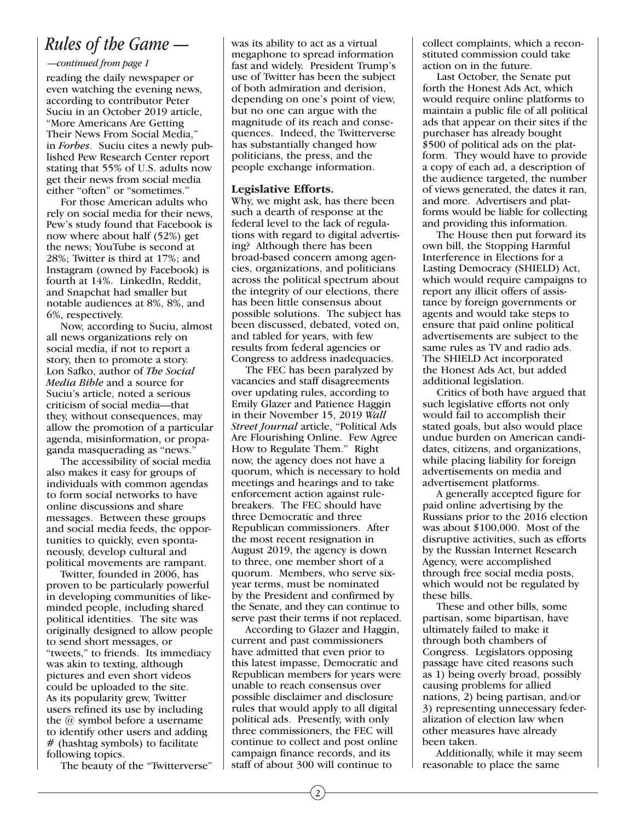### *Rules of the Game —*

#### *—continued from page 1*

reading the daily newspaper or even watching the evening news, according to contributor Peter Suciu in an October 2019 article, "More Americans Are Getting Their News From Social Media," in *Forbes*. Suciu cites a newly published Pew Research Center report stating that 55% of U.S. adults now get their news from social media either "often" or "sometimes."

 For those American adults who rely on social media for their news, Pew's study found that Facebook is now where about half (52%) get the news; YouTube is second at 28%; Twitter is third at 17%; and Instagram (owned by Facebook) is fourth at 14%. LinkedIn, Reddit, and Snapchat had smaller but notable audiences at 8%, 8%, and 6%, respectively.

 Now, according to Suciu, almost all news organizations rely on social media, if not to report a story, then to promote a story. Lon Safko, author of *The Social Media Bible* and a source for Suciu's article, noted a serious criticism of social media—that they, without consequences, may allow the promotion of a particular agenda, misinformation, or propaganda masquerading as "news."

 The accessibility of social media also makes it easy for groups of individuals with common agendas to form social networks to have online discussions and share messages. Between these groups and social media feeds, the opportunities to quickly, even spontaneously, develop cultural and political movements are rampant.

 Twitter, founded in 2006, has proven to be particularly powerful in developing communities of likeminded people, including shared political identities. The site was originally designed to allow people to send short messages, or "tweets," to friends. Its immediacy was akin to texting, although pictures and even short videos could be uploaded to the site. As its popularity grew, Twitter users refined its use by including the @ symbol before a username to identify other users and adding # (hashtag symbols) to facilitate following topics.

The beauty of the "Twitterverse"

was its ability to act as a virtual megaphone to spread information fast and widely. President Trump's use of Twitter has been the subject of both admiration and derision, depending on one's point of view, but no one can argue with the magnitude of its reach and consequences. Indeed, the Twitterverse has substantially changed how politicians, the press, and the people exchange information.

#### **Legislative Efforts.**

Why, we might ask, has there been such a dearth of response at the federal level to the lack of regulations with regard to digital advertising? Although there has been broad-based concern among agencies, organizations, and politicians across the political spectrum about the integrity of our elections, there has been little consensus about possible solutions. The subject has been discussed, debated, voted on, and tabled for years, with few results from federal agencies or Congress to address inadequacies.

 The FEC has been paralyzed by vacancies and staff disagreements over updating rules, according to Emily Glazer and Patience Haggin in their November 15, 2019 *Wall Street Journal* article, "Political Ads Are Flourishing Online. Few Agree How to Regulate Them." Right now, the agency does not have a quorum, which is necessary to hold meetings and hearings and to take enforcement action against rulebreakers. The FEC should have three Democratic and three Republican commissioners. After the most recent resignation in August 2019, the agency is down to three, one member short of a quorum. Members, who serve sixyear terms, must be nominated by the President and confirmed by the Senate, and they can continue to serve past their terms if not replaced.

 According to Glazer and Haggin, current and past commissioners have admitted that even prior to this latest impasse, Democratic and Republican members for years were unable to reach consensus over possible disclaimer and disclosure rules that would apply to all digital political ads. Presently, with only three commissioners, the FEC will continue to collect and post online campaign finance records, and its staff of about 300 will continue to

collect complaints, which a reconstituted commission could take action on in the future.

 Last October, the Senate put forth the Honest Ads Act, which would require online platforms to maintain a public file of all political ads that appear on their sites if the purchaser has already bought \$500 of political ads on the platform. They would have to provide a copy of each ad, a description of the audience targeted, the number of views generated, the dates it ran, and more. Advertisers and platforms would be liable for collecting and providing this information.

 The House then put forward its own bill, the Stopping Harmful Interference in Elections for a Lasting Democracy (SHIELD) Act, which would require campaigns to report any illicit offers of assistance by foreign governments or agents and would take steps to ensure that paid online political advertisements are subject to the same rules as TV and radio ads. The SHIELD Act incorporated the Honest Ads Act, but added additional legislation.

 Critics of both have argued that such legislative efforts not only would fail to accomplish their stated goals, but also would place undue burden on American candidates, citizens, and organizations, while placing liability for foreign advertisements on media and advertisement platforms.

 A generally accepted figure for paid online advertising by the Russians prior to the 2016 election was about \$100,000. Most of the disruptive activities, such as efforts by the Russian Internet Research Agency, were accomplished through free social media posts, which would not be regulated by these bills.

 These and other bills, some partisan, some bipartisan, have ultimately failed to make it through both chambers of Congress. Legislators opposing passage have cited reasons such as 1) being overly broad, possibly causing problems for allied nations, 2) being partisan, and/or 3) representing unnecessary federalization of election law when other measures have already been taken.

 Additionally, while it may seem reasonable to place the same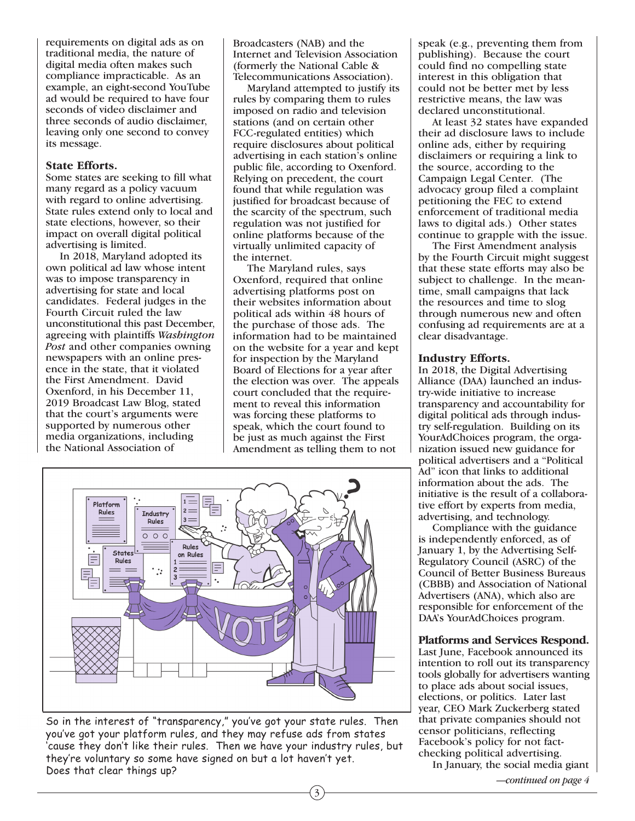requirements on digital ads as on traditional media, the nature of digital media often makes such compliance impracticable. As an example, an eight-second YouTube ad would be required to have four seconds of video disclaimer and three seconds of audio disclaimer, leaving only one second to convey its message.

#### **State Efforts.**

Some states are seeking to fill what many regard as a policy vacuum with regard to online advertising. State rules extend only to local and state elections, however, so their impact on overall digital political advertising is limited.

 In 2018, Maryland adopted its own political ad law whose intent was to impose transparency in advertising for state and local candidates. Federal judges in the Fourth Circuit ruled the law unconstitutional this past December, agreeing with plaintiffs *Washington Post* and other companies owning newspapers with an online presence in the state, that it violated the First Amendment. David Oxenford, in his December 11, 2019 Broadcast Law Blog, stated that the court's arguments were supported by numerous other media organizations, including the National Association of

Broadcasters (NAB) and the Internet and Television Association (formerly the National Cable & Telecommunications Association).

 Maryland attempted to justify its rules by comparing them to rules imposed on radio and television stations (and on certain other FCC-regulated entities) which require disclosures about political advertising in each station's online public file, according to Oxenford. Relying on precedent, the court found that while regulation was justified for broadcast because of the scarcity of the spectrum, such regulation was not justified for online platforms because of the virtually unlimited capacity of the internet.

 The Maryland rules, says Oxenford, required that online advertising platforms post on their websites information about political ads within 48 hours of the purchase of those ads. The information had to be maintained on the website for a year and kept for inspection by the Maryland Board of Elections for a year after the election was over. The appeals court concluded that the requirement to reveal this information was forcing these platforms to speak, which the court found to be just as much against the First Amendment as telling them to not

3



So in the interest of "transparency," you've got your state rules. Then you've got your platform rules, and they may refuse ads from states 'cause they don't like their rules. Then we have your industry rules, but they're voluntary so some have signed on but a lot haven't yet. Does that clear things up?

speak (e.g., preventing them from publishing). Because the court could find no compelling state interest in this obligation that could not be better met by less restrictive means, the law was declared unconstitutional.

 At least 32 states have expanded their ad disclosure laws to include online ads, either by requiring disclaimers or requiring a link to the source, according to the Campaign Legal Center. (The advocacy group filed a complaint petitioning the FEC to extend enforcement of traditional media laws to digital ads.) Other states continue to grapple with the issue.

 The First Amendment analysis by the Fourth Circuit might suggest that these state efforts may also be subject to challenge. In the meantime, small campaigns that lack the resources and time to slog through numerous new and often confusing ad requirements are at a clear disadvantage.

#### **Industry Efforts.**

In 2018, the Digital Advertising Alliance (DAA) launched an industry-wide initiative to increase transparency and accountability for digital political ads through industry self-regulation. Building on its YourAdChoices program, the organization issued new guidance for political advertisers and a "Political Ad" icon that links to additional information about the ads. The initiative is the result of a collaborative effort by experts from media, advertising, and technology.

 Compliance with the guidance is independently enforced, as of January 1, by the Advertising Self-Regulatory Council (ASRC) of the Council of Better Business Bureaus (CBBB) and Association of National Advertisers (ANA), which also are responsible for enforcement of the DAA's YourAdChoices program.

#### **Platforms and Services Respond.**

Last June, Facebook announced its intention to roll out its transparency tools globally for advertisers wanting to place ads about social issues, elections, or politics. Later last year, CEO Mark Zuckerberg stated that private companies should not censor politicians, reflecting Facebook's policy for not factchecking political advertising.

In January, the social media giant